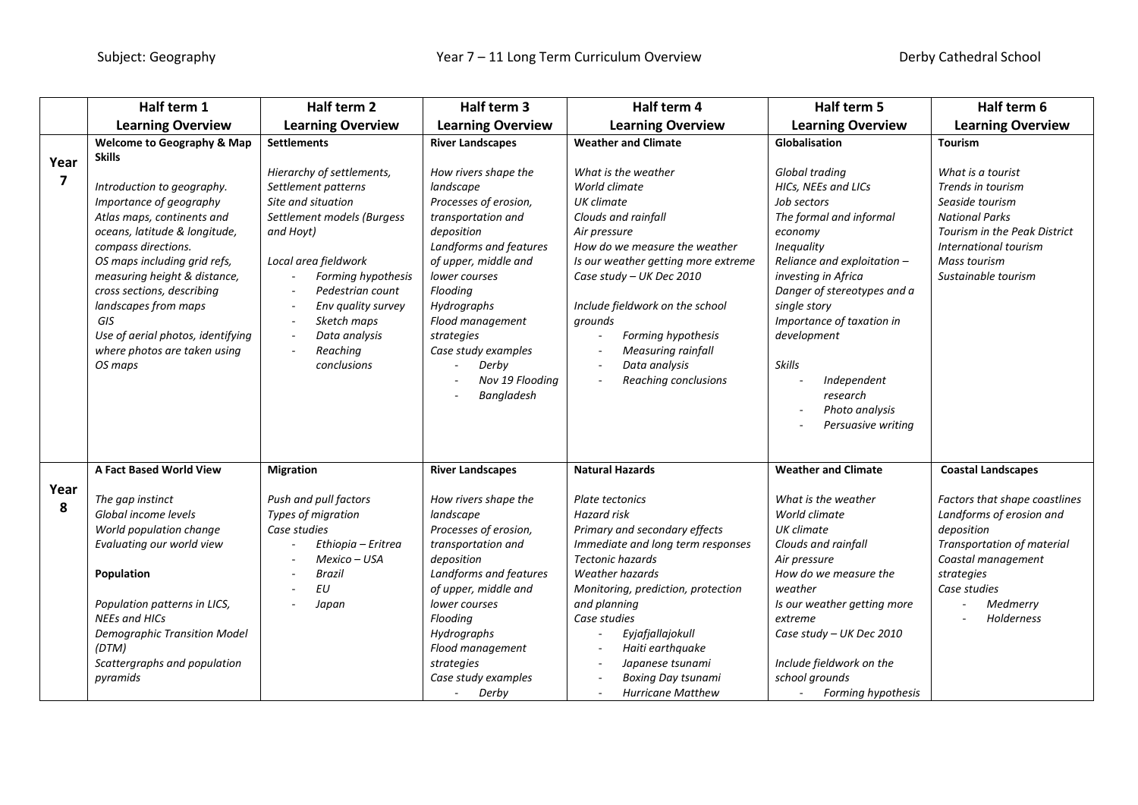|                                 | Half term 1                                                                                                                                                                                                                                                                                                                                                               | Half term 2                                                                                                                                                                                                                                                          | Half term 3                                                                                                                                                                                                                                                                                            | Half term 4                                                                                                                                                                                                                                                                                                                                                 | Half term 5                                                                                                                                                                                                                                                                                                                                          | Half term 6                                                                                                                                                                         |
|---------------------------------|---------------------------------------------------------------------------------------------------------------------------------------------------------------------------------------------------------------------------------------------------------------------------------------------------------------------------------------------------------------------------|----------------------------------------------------------------------------------------------------------------------------------------------------------------------------------------------------------------------------------------------------------------------|--------------------------------------------------------------------------------------------------------------------------------------------------------------------------------------------------------------------------------------------------------------------------------------------------------|-------------------------------------------------------------------------------------------------------------------------------------------------------------------------------------------------------------------------------------------------------------------------------------------------------------------------------------------------------------|------------------------------------------------------------------------------------------------------------------------------------------------------------------------------------------------------------------------------------------------------------------------------------------------------------------------------------------------------|-------------------------------------------------------------------------------------------------------------------------------------------------------------------------------------|
|                                 | <b>Learning Overview</b>                                                                                                                                                                                                                                                                                                                                                  | <b>Learning Overview</b>                                                                                                                                                                                                                                             | <b>Learning Overview</b>                                                                                                                                                                                                                                                                               | <b>Learning Overview</b>                                                                                                                                                                                                                                                                                                                                    | <b>Learning Overview</b>                                                                                                                                                                                                                                                                                                                             | <b>Learning Overview</b>                                                                                                                                                            |
|                                 | <b>Welcome to Geography &amp; Map</b>                                                                                                                                                                                                                                                                                                                                     | <b>Settlements</b>                                                                                                                                                                                                                                                   | <b>River Landscapes</b>                                                                                                                                                                                                                                                                                | <b>Weather and Climate</b>                                                                                                                                                                                                                                                                                                                                  | Globalisation                                                                                                                                                                                                                                                                                                                                        | <b>Tourism</b>                                                                                                                                                                      |
| Year<br>$\overline{\mathbf{z}}$ | <b>Skills</b><br>Introduction to geography.<br>Importance of geography<br>Atlas maps, continents and<br>oceans, latitude & longitude,<br>compass directions.<br>OS maps including grid refs,<br>measuring height & distance,<br>cross sections, describing<br>landscapes from maps<br>GIS<br>Use of aerial photos, identifying<br>where photos are taken using<br>OS maps | Hierarchy of settlements,<br>Settlement patterns<br>Site and situation<br>Settlement models (Burgess<br>and Hoyt)<br>Local area fieldwork<br>Forming hypothesis<br>Pedestrian count<br>Env quality survey<br>Sketch maps<br>Data analysis<br>Reaching<br>conclusions | How rivers shape the<br>landscape<br>Processes of erosion,<br>transportation and<br>deposition<br>Landforms and features<br>of upper, middle and<br>lower courses<br>Flooding<br>Hydrographs<br>Flood management<br>strategies<br>Case study examples<br>Derby<br>Nov 19 Flooding<br><b>Bangladesh</b> | What is the weather<br>World climate<br>UK climate<br>Clouds and rainfall<br>Air pressure<br>How do we measure the weather<br>Is our weather getting more extreme<br>Case study - UK Dec 2010<br>Include fieldwork on the school<br>grounds<br>Forming hypothesis<br><b>Measuring rainfall</b><br>Data analysis<br>Reaching conclusions                     | Global trading<br>HICs, NEEs and LICs<br>Job sectors<br>The formal and informal<br>economy<br><b>Inequality</b><br>Reliance and exploitation -<br>investing in Africa<br>Danger of stereotypes and a<br>single story<br>Importance of taxation in<br>development<br><b>Skills</b><br>Independent<br>research<br>Photo analysis<br>Persuasive writing | What is a tourist<br>Trends in tourism<br>Seaside tourism<br><b>National Parks</b><br>Tourism in the Peak District<br>International tourism<br>Mass tourism<br>Sustainable tourism  |
|                                 | A Fact Based World View                                                                                                                                                                                                                                                                                                                                                   | <b>Migration</b>                                                                                                                                                                                                                                                     | <b>River Landscapes</b>                                                                                                                                                                                                                                                                                | <b>Natural Hazards</b>                                                                                                                                                                                                                                                                                                                                      | <b>Weather and Climate</b>                                                                                                                                                                                                                                                                                                                           | <b>Coastal Landscapes</b>                                                                                                                                                           |
| Year<br>8                       | The gap instinct<br>Global income levels<br>World population change<br>Evaluating our world view<br>Population<br>Population patterns in LICS,<br><b>NEEs and HICs</b><br><b>Demographic Transition Model</b><br>(DTM)<br>Scattergraphs and population<br>pyramids                                                                                                        | Push and pull factors<br>Types of migration<br>Case studies<br>Ethiopia - Eritrea<br>Mexico - USA<br><b>Brazil</b><br><b>EU</b><br>Japan                                                                                                                             | How rivers shape the<br>landscape<br>Processes of erosion,<br>transportation and<br>deposition<br>Landforms and features<br>of upper, middle and<br>lower courses<br>Flooding<br>Hydrographs<br>Flood management<br>strategies<br>Case study examples<br>Derby<br>$\sim$                               | <b>Plate tectonics</b><br><b>Hazard</b> risk<br>Primary and secondary effects<br>Immediate and long term responses<br><b>Tectonic hazards</b><br>Weather hazards<br>Monitoring, prediction, protection<br>and planning<br>Case studies<br>Eyjafjallajokull<br>Haiti earthquake<br>Japanese tsunami<br><b>Boxing Day tsunami</b><br><b>Hurricane Matthew</b> | What is the weather<br>World climate<br>UK climate<br>Clouds and rainfall<br>Air pressure<br>How do we measure the<br>weather<br>Is our weather getting more<br>extreme<br>Case study - UK Dec 2010<br>Include fieldwork on the<br>school grounds<br>Forming hypothesis                                                                              | Factors that shape coastlines<br>Landforms of erosion and<br>deposition<br>Transportation of material<br>Coastal management<br>strategies<br>Case studies<br>Medmerry<br>Holderness |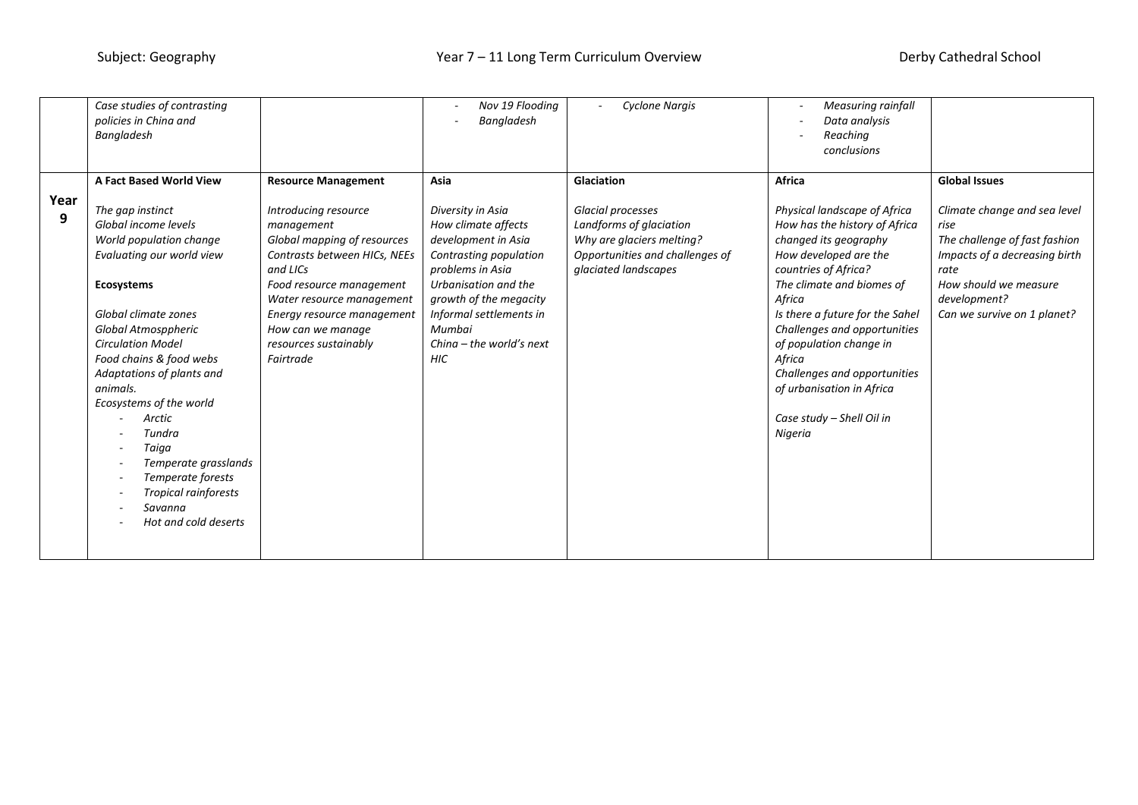|           | Case studies of contrasting<br>policies in China and<br><b>Bangladesh</b>                                                                                                                                                                                                                                                                                                                                                            |                                                                                                                                                                                                                                                                 | Nov 19 Flooding<br><b>Bangladesh</b>                                                                                                                                                                                                             | <b>Cyclone Nargis</b>                                                                                                                | <b>Measuring rainfall</b><br>$\overline{\phantom{a}}$<br>Data analysis<br>Reaching<br>conclusions                                                                                                                                                                                                                                                                                           |                                                                                                                                                                                        |
|-----------|--------------------------------------------------------------------------------------------------------------------------------------------------------------------------------------------------------------------------------------------------------------------------------------------------------------------------------------------------------------------------------------------------------------------------------------|-----------------------------------------------------------------------------------------------------------------------------------------------------------------------------------------------------------------------------------------------------------------|--------------------------------------------------------------------------------------------------------------------------------------------------------------------------------------------------------------------------------------------------|--------------------------------------------------------------------------------------------------------------------------------------|---------------------------------------------------------------------------------------------------------------------------------------------------------------------------------------------------------------------------------------------------------------------------------------------------------------------------------------------------------------------------------------------|----------------------------------------------------------------------------------------------------------------------------------------------------------------------------------------|
|           |                                                                                                                                                                                                                                                                                                                                                                                                                                      |                                                                                                                                                                                                                                                                 |                                                                                                                                                                                                                                                  |                                                                                                                                      |                                                                                                                                                                                                                                                                                                                                                                                             |                                                                                                                                                                                        |
|           | <b>A Fact Based World View</b>                                                                                                                                                                                                                                                                                                                                                                                                       | <b>Resource Management</b>                                                                                                                                                                                                                                      | Asia                                                                                                                                                                                                                                             | Glaciation                                                                                                                           | Africa                                                                                                                                                                                                                                                                                                                                                                                      | <b>Global Issues</b>                                                                                                                                                                   |
| Year<br>9 | The gap instinct<br>Global income levels<br>World population change<br>Evaluating our world view<br><b>Ecosystems</b><br>Global climate zones<br>Global Atmosppheric<br><b>Circulation Model</b><br>Food chains & food webs<br>Adaptations of plants and<br>animals.<br>Ecosystems of the world<br>Arctic<br>Tundra<br>Taiga<br>Temperate grasslands<br>Temperate forests<br>Tropical rainforests<br>Savanna<br>Hot and cold deserts | Introducing resource<br>management<br>Global mapping of resources<br>Contrasts between HICs, NEEs<br>and LICs<br>Food resource management<br>Water resource management<br>Energy resource management<br>How can we manage<br>resources sustainably<br>Fairtrade | Diversity in Asia<br>How climate affects<br>development in Asia<br>Contrasting population<br>problems in Asia<br>Urbanisation and the<br>growth of the megacity<br>Informal settlements in<br>Mumbai<br>Ching $-$ the world's next<br><b>HIC</b> | Glacial processes<br>Landforms of glaciation<br>Why are glaciers melting?<br>Opportunities and challenges of<br>glaciated landscapes | Physical landscape of Africa<br>How has the history of Africa<br>changed its geography<br>How developed are the<br>countries of Africa?<br>The climate and biomes of<br>Africa<br>Is there a future for the Sahel<br>Challenges and opportunities<br>of population change in<br>Africa<br>Challenges and opportunities<br>of urbanisation in Africa<br>Case study - Shell Oil in<br>Nigeria | Climate change and sea level<br>rise<br>The challenge of fast fashion<br>Impacts of a decreasing birth<br>rate<br>How should we measure<br>development?<br>Can we survive on 1 planet? |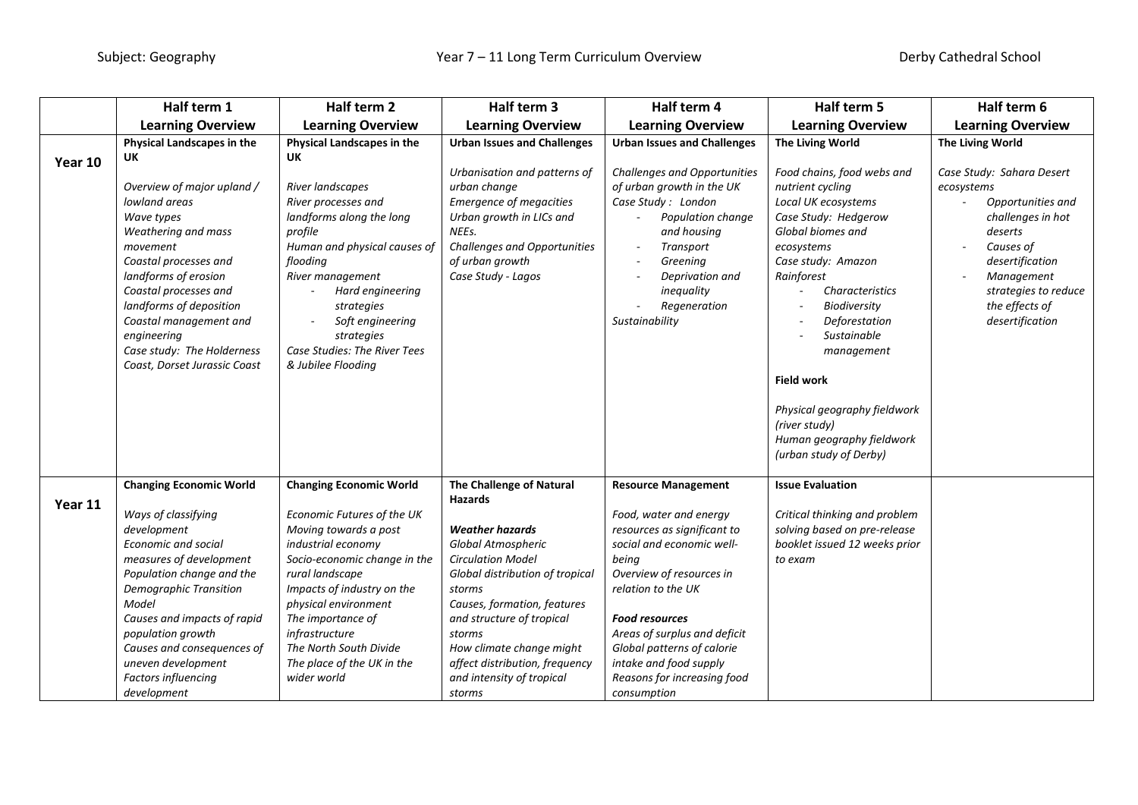|         | Half term 1                                                                                                                                                                                                                                                                                                      | Half term 2                                                                                                                                                                                                                                                                                      | Half term 3                                                                                                                                                                                                                                                                                                        | Half term 4                                                                                                                                                                                                                                                                                                  | Half term 5                                                                                                                                                                                                                                                                                                                                                                        | Half term 6                                                                                                                                                                                             |
|---------|------------------------------------------------------------------------------------------------------------------------------------------------------------------------------------------------------------------------------------------------------------------------------------------------------------------|--------------------------------------------------------------------------------------------------------------------------------------------------------------------------------------------------------------------------------------------------------------------------------------------------|--------------------------------------------------------------------------------------------------------------------------------------------------------------------------------------------------------------------------------------------------------------------------------------------------------------------|--------------------------------------------------------------------------------------------------------------------------------------------------------------------------------------------------------------------------------------------------------------------------------------------------------------|------------------------------------------------------------------------------------------------------------------------------------------------------------------------------------------------------------------------------------------------------------------------------------------------------------------------------------------------------------------------------------|---------------------------------------------------------------------------------------------------------------------------------------------------------------------------------------------------------|
|         | <b>Learning Overview</b>                                                                                                                                                                                                                                                                                         | <b>Learning Overview</b>                                                                                                                                                                                                                                                                         | <b>Learning Overview</b>                                                                                                                                                                                                                                                                                           | <b>Learning Overview</b>                                                                                                                                                                                                                                                                                     | <b>Learning Overview</b>                                                                                                                                                                                                                                                                                                                                                           | <b>Learning Overview</b>                                                                                                                                                                                |
|         | Physical Landscapes in the                                                                                                                                                                                                                                                                                       | Physical Landscapes in the                                                                                                                                                                                                                                                                       | <b>Urban Issues and Challenges</b>                                                                                                                                                                                                                                                                                 | <b>Urban Issues and Challenges</b>                                                                                                                                                                                                                                                                           | The Living World                                                                                                                                                                                                                                                                                                                                                                   | The Living World                                                                                                                                                                                        |
| Year 10 | <b>UK</b>                                                                                                                                                                                                                                                                                                        | UK                                                                                                                                                                                                                                                                                               |                                                                                                                                                                                                                                                                                                                    |                                                                                                                                                                                                                                                                                                              |                                                                                                                                                                                                                                                                                                                                                                                    |                                                                                                                                                                                                         |
|         | Overview of major upland /<br>lowland areas<br>Wave types<br>Weathering and mass<br>movement<br>Coastal processes and<br>landforms of erosion<br>Coastal processes and<br>landforms of deposition<br>Coastal management and<br>engineering<br>Case study: The Holderness<br>Coast, Dorset Jurassic Coast         | River landscapes<br>River processes and<br>landforms along the long<br>profile<br>Human and physical causes of<br>flooding<br>River management<br>Hard engineering<br>strategies<br>Soft engineering<br>strategies<br>Case Studies: The River Tees<br>& Jubilee Flooding                         | Urbanisation and patterns of<br>urban change<br><b>Emergence of megacities</b><br>Urban growth in LICs and<br>NEEs.<br><b>Challenges and Opportunities</b><br>of urban growth<br>Case Study - Lagos                                                                                                                | <b>Challenges and Opportunities</b><br>of urban growth in the UK<br>Case Study: London<br>Population change<br>and housing<br>Transport<br>Greening<br>$\sim$<br>Deprivation and<br>inequality<br>Regeneration<br>Sustainability                                                                             | Food chains, food webs and<br>nutrient cycling<br>Local UK ecosystems<br>Case Study: Hedgerow<br>Global biomes and<br>ecosystems<br>Case study: Amazon<br>Rainforest<br>Characteristics<br>Biodiversity<br>Deforestation<br>Sustainable<br>management<br><b>Field work</b><br>Physical geography fieldwork<br>(river study)<br>Human geography fieldwork<br>(urban study of Derby) | Case Study: Sahara Desert<br>ecosystems<br>Opportunities and<br>challenges in hot<br>deserts<br>Causes of<br>desertification<br>Management<br>strategies to reduce<br>the effects of<br>desertification |
|         | <b>Changing Economic World</b>                                                                                                                                                                                                                                                                                   | <b>Changing Economic World</b>                                                                                                                                                                                                                                                                   | The Challenge of Natural                                                                                                                                                                                                                                                                                           | <b>Resource Management</b>                                                                                                                                                                                                                                                                                   | <b>Issue Evaluation</b>                                                                                                                                                                                                                                                                                                                                                            |                                                                                                                                                                                                         |
| Year 11 | Ways of classifying<br>development<br><b>Economic and social</b><br>measures of development<br>Population change and the<br><b>Demographic Transition</b><br>Model<br>Causes and impacts of rapid<br>population growth<br>Causes and consequences of<br>uneven development<br>Factors influencing<br>development | Economic Futures of the UK<br>Moving towards a post<br>industrial economy<br>Socio-economic change in the<br>rural landscape<br>Impacts of industry on the<br>physical environment<br>The importance of<br>infrastructure<br>The North South Divide<br>The place of the UK in the<br>wider world | <b>Hazards</b><br><b>Weather hazards</b><br>Global Atmospheric<br><b>Circulation Model</b><br>Global distribution of tropical<br>storms<br>Causes, formation, features<br>and structure of tropical<br>storms<br>How climate change might<br>affect distribution, frequency<br>and intensity of tropical<br>storms | Food, water and energy<br>resources as significant to<br>social and economic well-<br>being<br>Overview of resources in<br>relation to the UK<br><b>Food resources</b><br>Areas of surplus and deficit<br>Global patterns of calorie<br>intake and food supply<br>Reasons for increasing food<br>consumption | Critical thinking and problem<br>solving based on pre-release<br>booklet issued 12 weeks prior<br>to exam                                                                                                                                                                                                                                                                          |                                                                                                                                                                                                         |